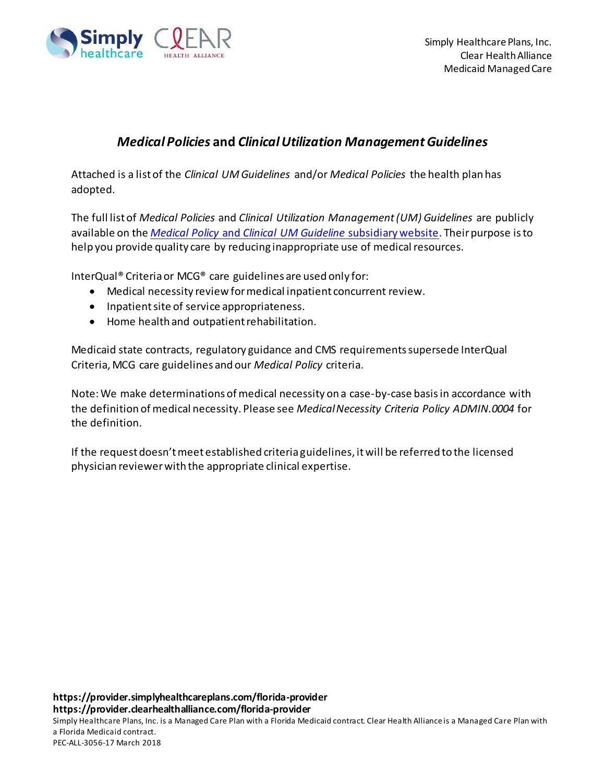

## *Medical Policies* **and** *Clinical Utilization Management Guidelines*

Attached is a list of the *Clinical UM Guidelines* and/or *Medical Policies* the health plan has adopted.

The full list of *Medical Policies* and *Clinical Utilization Management (UM) Guidelines* are publicly available on the *Medical Policy* and *[Clinical UM Guideline](https://medicalpolicy.simplyhealthcareplans.com/shp_search.html)* subsidiary website. Their purpose is to help you provide quality care by reducing inappropriate use of medical resources.

InterQual® Criteria or MCG® care guidelines are used only for:

- Medical necessity review for medical inpatient concurrent review.
- Inpatient site of service appropriateness.
- Home health and outpatient rehabilitation.

Medicaid state contracts, regulatory guidance and CMS requirements supersede InterQual Criteria, MCG care guidelines and our *Medical Policy* criteria.

Note: We make determinations of medical necessity on a case-by-case basis in accordance with the definition of medical necessity. Please see *Medical Necessity Criteria Policy ADMIN.0004* for the definition.

If the request doesn't meet established criteria guidelines, it will be referred to the licensed physician reviewer with the appropriate clinical expertise.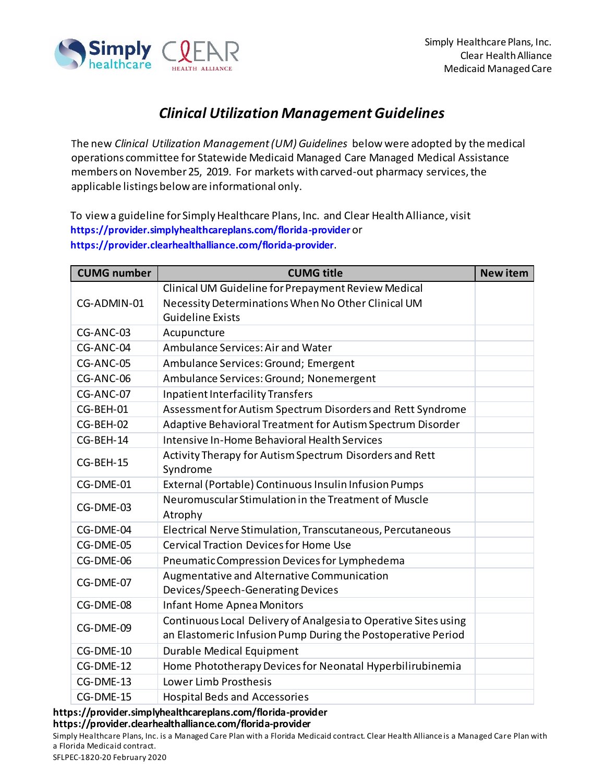

## *Clinical Utilization Management Guidelines*

The new *Clinical Utilization Management (UM) Guidelines* below were adopted by the medical operations committee for Statewide Medicaid Managed Care Managed Medical Assistance members on November 25, 2019. For markets with carved-out pharmacy services, the applicable listings below are informational only.

To view a guideline for Simply Healthcare Plans, Inc. and Clear Health Alliance, visit **<https://provider.simplyhealthcareplans.com/florida-provider>** or **<https://provider.clearhealthalliance.com/florida-provider>**.

| <b>CUMG number</b> | <b>CUMG title</b>                                                   | <b>New item</b> |
|--------------------|---------------------------------------------------------------------|-----------------|
|                    | Clinical UM Guideline for Prepayment Review Medical                 |                 |
| CG-ADMIN-01        | Necessity Determinations When No Other Clinical UM                  |                 |
|                    | <b>Guideline Exists</b>                                             |                 |
| CG-ANC-03          | Acupuncture                                                         |                 |
| CG-ANC-04          | Ambulance Services: Air and Water                                   |                 |
| CG-ANC-05          | Ambulance Services: Ground; Emergent                                |                 |
| CG-ANC-06          | Ambulance Services: Ground; Nonemergent                             |                 |
| CG-ANC-07          | <b>Inpatient Interfacility Transfers</b>                            |                 |
| CG-BEH-01          | Assessment for Autism Spectrum Disorders and Rett Syndrome          |                 |
| CG-BEH-02          | Adaptive Behavioral Treatment for Autism Spectrum Disorder          |                 |
| CG-BEH-14          | Intensive In-Home Behavioral Health Services                        |                 |
| CG-BEH-15          | Activity Therapy for Autism Spectrum Disorders and Rett<br>Syndrome |                 |
| CG-DME-01          | External (Portable) Continuous Insulin Infusion Pumps               |                 |
| CG-DME-03          | Neuromuscular Stimulation in the Treatment of Muscle<br>Atrophy     |                 |
| CG-DME-04          | Electrical Nerve Stimulation, Transcutaneous, Percutaneous          |                 |
| CG-DME-05          | <b>Cervical Traction Devices for Home Use</b>                       |                 |
| CG-DME-06          | Pneumatic Compression Devices for Lymphedema                        |                 |
|                    | Augmentative and Alternative Communication                          |                 |
| CG-DME-07          | Devices/Speech-Generating Devices                                   |                 |
| CG-DME-08          | <b>Infant Home Apnea Monitors</b>                                   |                 |
| CG-DME-09          | Continuous Local Delivery of Analgesia to Operative Sites using     |                 |
|                    | an Elastomeric Infusion Pump During the Postoperative Period        |                 |
| CG-DME-10          | Durable Medical Equipment                                           |                 |
| CG-DME-12          | Home Phototherapy Devices for Neonatal Hyperbilirubinemia           |                 |
| CG-DME-13          | Lower Limb Prosthesis                                               |                 |
| CG-DME-15          | <b>Hospital Beds and Accessories</b>                                |                 |

**https://provider.simplyhealthcareplans.com/florida-provider https://provider.clearhealthalliance.com/florida-provider**

Simply Healthcare Plans, Inc. is a Managed Care Plan with a Florida Medicaid contract. Clear Health Alliance is a Managed Care Plan with a Florida Medicaid contract.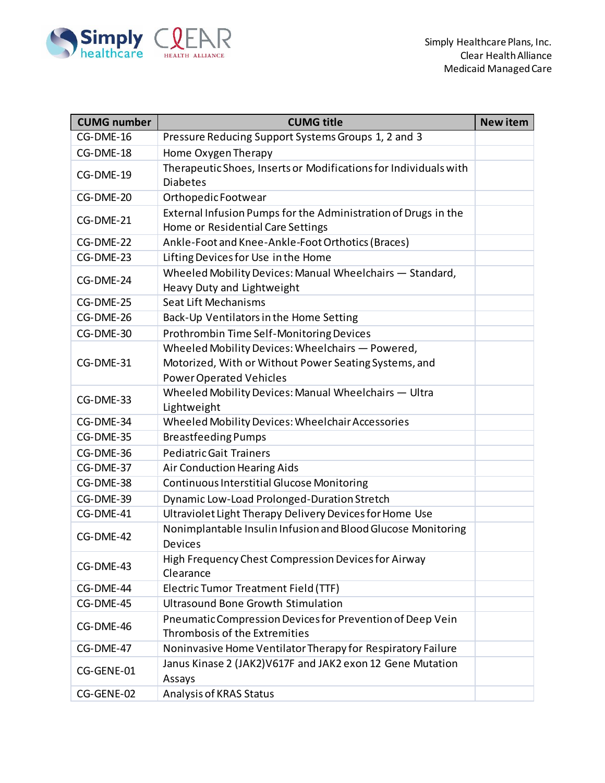

| <b>CUMG number</b> | <b>CUMG title</b>                                                                                                                           | <b>New item</b> |
|--------------------|---------------------------------------------------------------------------------------------------------------------------------------------|-----------------|
| CG-DME-16          | Pressure Reducing Support Systems Groups 1, 2 and 3                                                                                         |                 |
| CG-DME-18          | Home Oxygen Therapy                                                                                                                         |                 |
| CG-DME-19          | Therapeutic Shoes, Inserts or Modifications for Individuals with<br><b>Diabetes</b>                                                         |                 |
| CG-DME-20          | Orthopedic Footwear                                                                                                                         |                 |
| CG-DME-21          | External Infusion Pumps for the Administration of Drugs in the<br>Home or Residential Care Settings                                         |                 |
| CG-DME-22          | Ankle-Foot and Knee-Ankle-Foot Orthotics (Braces)                                                                                           |                 |
| CG-DME-23          | Lifting Devices for Use in the Home                                                                                                         |                 |
| CG-DME-24          | Wheeled Mobility Devices: Manual Wheelchairs - Standard,<br>Heavy Duty and Lightweight                                                      |                 |
| CG-DME-25          | Seat Lift Mechanisms                                                                                                                        |                 |
| CG-DME-26          | Back-Up Ventilators in the Home Setting                                                                                                     |                 |
| CG-DME-30          | Prothrombin Time Self-Monitoring Devices                                                                                                    |                 |
| CG-DME-31          | Wheeled Mobility Devices: Wheelchairs - Powered,<br>Motorized, With or Without Power Seating Systems, and<br><b>Power Operated Vehicles</b> |                 |
| CG-DME-33          | Wheeled Mobility Devices: Manual Wheelchairs - Ultra<br>Lightweight                                                                         |                 |
| CG-DME-34          | Wheeled Mobility Devices: Wheelchair Accessories                                                                                            |                 |
| CG-DME-35          | <b>Breastfeeding Pumps</b>                                                                                                                  |                 |
| CG-DME-36          | <b>Pediatric Gait Trainers</b>                                                                                                              |                 |
| CG-DME-37          | Air Conduction Hearing Aids                                                                                                                 |                 |
| CG-DME-38          | Continuous Interstitial Glucose Monitoring                                                                                                  |                 |
| CG-DME-39          | Dynamic Low-Load Prolonged-Duration Stretch                                                                                                 |                 |
| CG-DME-41          | Ultraviolet Light Therapy Delivery Devices for Home Use                                                                                     |                 |
| CG-DME-42          | Nonimplantable Insulin Infusion and Blood Glucose Monitoring<br>Devices                                                                     |                 |
| CG-DME-43          | High Frequency Chest Compression Devices for Airway<br>Clearance                                                                            |                 |
| CG-DME-44          | Electric Tumor Treatment Field (TTF)                                                                                                        |                 |
| CG-DME-45          | <b>Ultrasound Bone Growth Stimulation</b>                                                                                                   |                 |
| CG-DME-46          | Pneumatic Compression Devices for Prevention of Deep Vein<br>Thrombosis of the Extremities                                                  |                 |
| CG-DME-47          | Noninvasive Home Ventilator Therapy for Respiratory Failure                                                                                 |                 |
| CG-GENE-01         | Janus Kinase 2 (JAK2) V617F and JAK2 exon 12 Gene Mutation<br>Assays                                                                        |                 |
| CG-GENE-02         | Analysis of KRAS Status                                                                                                                     |                 |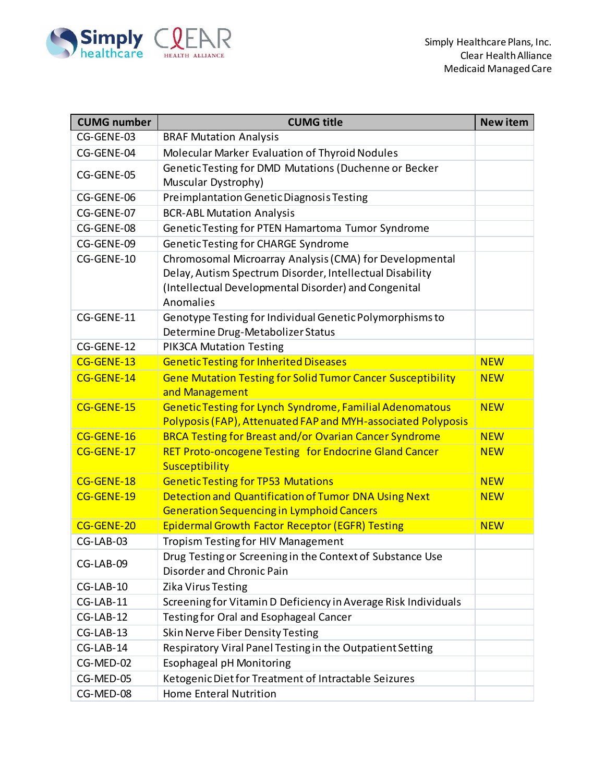

| <b>CUMG number</b> | <b>CUMG title</b>                                                                                                   | <b>New item</b> |
|--------------------|---------------------------------------------------------------------------------------------------------------------|-----------------|
| CG-GENE-03         | <b>BRAF Mutation Analysis</b>                                                                                       |                 |
| CG-GENE-04         | Molecular Marker Evaluation of Thyroid Nodules                                                                      |                 |
| CG-GENE-05         | Genetic Testing for DMD Mutations (Duchenne or Becker                                                               |                 |
|                    | Muscular Dystrophy)                                                                                                 |                 |
| CG-GENE-06         | Preimplantation Genetic Diagnosis Testing                                                                           |                 |
| CG-GENE-07         | <b>BCR-ABL Mutation Analysis</b>                                                                                    |                 |
| CG-GENE-08         | Genetic Testing for PTEN Hamartoma Tumor Syndrome                                                                   |                 |
| CG-GENE-09         | Genetic Testing for CHARGE Syndrome                                                                                 |                 |
| CG-GENE-10         | Chromosomal Microarray Analysis (CMA) for Developmental<br>Delay, Autism Spectrum Disorder, Intellectual Disability |                 |
|                    | (Intellectual Developmental Disorder) and Congenital<br>Anomalies                                                   |                 |
| CG-GENE-11         | Genotype Testing for Individual Genetic Polymorphisms to<br>Determine Drug-Metabolizer Status                       |                 |
| CG-GENE-12         | <b>PIK3CA Mutation Testing</b>                                                                                      |                 |
| CG-GENE-13         | <b>Genetic Testing for Inherited Diseases</b>                                                                       | <b>NEW</b>      |
| CG-GENE-14         | <b>Gene Mutation Testing for Solid Tumor Cancer Susceptibility</b><br>and Management                                | <b>NEW</b>      |
| CG-GENE-15         | Genetic Testing for Lynch Syndrome, Familial Adenomatous                                                            | <b>NEW</b>      |
|                    | Polyposis (FAP), Attenuated FAP and MYH-associated Polyposis                                                        |                 |
| CG-GENE-16         | <b>BRCA Testing for Breast and/or Ovarian Cancer Syndrome</b>                                                       | <b>NEW</b>      |
| CG-GENE-17         | RET Proto-oncogene Testing for Endocrine Gland Cancer<br>Susceptibility                                             | <b>NEW</b>      |
| CG-GENE-18         | <b>Genetic Testing for TP53 Mutations</b>                                                                           | <b>NEW</b>      |
| CG-GENE-19         | Detection and Quantification of Tumor DNA Using Next                                                                | <b>NEW</b>      |
|                    | <b>Generation Sequencing in Lymphoid Cancers</b>                                                                    |                 |
| CG-GENE-20         | <b>Epidermal Growth Factor Receptor (EGFR) Testing</b>                                                              | <b>NEW</b>      |
| CG-LAB-03          | <b>Tropism Testing for HIV Management</b>                                                                           |                 |
| CG-LAB-09          | Drug Testing or Screening in the Context of Substance Use<br>Disorder and Chronic Pain                              |                 |
| CG-LAB-10          | Zika Virus Testing                                                                                                  |                 |
| CG-LAB-11          | Screening for Vitamin D Deficiency in Average Risk Individuals                                                      |                 |
| CG-LAB-12          | Testing for Oral and Esophageal Cancer                                                                              |                 |
| CG-LAB-13          | Skin Nerve Fiber Density Testing                                                                                    |                 |
| CG-LAB-14          | Respiratory Viral Panel Testing in the Outpatient Setting                                                           |                 |
| CG-MED-02          | Esophageal pH Monitoring                                                                                            |                 |
| CG-MED-05          | Ketogenic Diet for Treatment of Intractable Seizures                                                                |                 |
| CG-MED-08          | Home Enteral Nutrition                                                                                              |                 |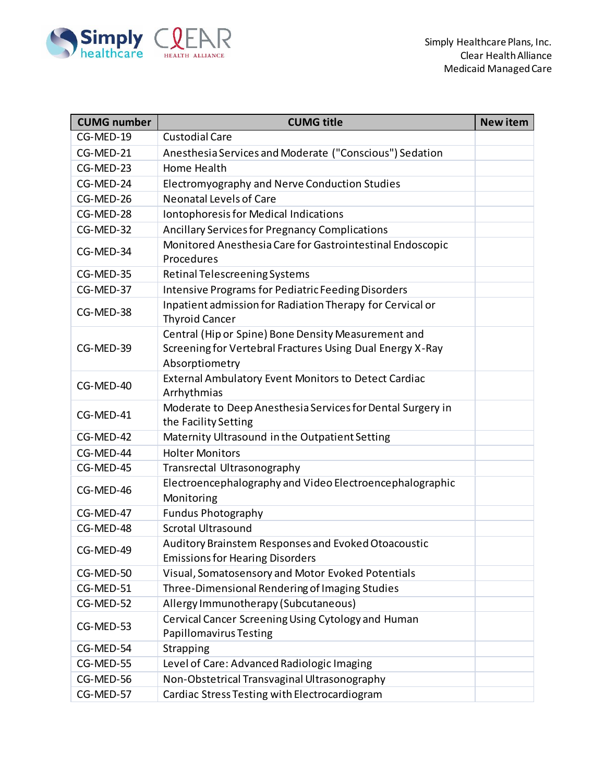

| <b>CUMG number</b> | <b>CUMG title</b>                                                                                                                  | <b>New item</b> |
|--------------------|------------------------------------------------------------------------------------------------------------------------------------|-----------------|
| CG-MED-19          | <b>Custodial Care</b>                                                                                                              |                 |
| CG-MED-21          | Anesthesia Services and Moderate ("Conscious") Sedation                                                                            |                 |
| CG-MED-23          | Home Health                                                                                                                        |                 |
| CG-MED-24          | Electromyography and Nerve Conduction Studies                                                                                      |                 |
| CG-MED-26          | <b>Neonatal Levels of Care</b>                                                                                                     |                 |
| CG-MED-28          | Iontophoresis for Medical Indications                                                                                              |                 |
| CG-MED-32          | Ancillary Services for Pregnancy Complications                                                                                     |                 |
| CG-MED-34          | Monitored Anesthesia Care for Gastrointestinal Endoscopic<br>Procedures                                                            |                 |
| CG-MED-35          | Retinal Telescreening Systems                                                                                                      |                 |
| CG-MED-37          | <b>Intensive Programs for Pediatric Feeding Disorders</b>                                                                          |                 |
| CG-MED-38          | Inpatient admission for Radiation Therapy for Cervical or<br><b>Thyroid Cancer</b>                                                 |                 |
| CG-MED-39          | Central (Hip or Spine) Bone Density Measurement and<br>Screening for Vertebral Fractures Using Dual Energy X-Ray<br>Absorptiometry |                 |
| CG-MED-40          | External Ambulatory Event Monitors to Detect Cardiac<br>Arrhythmias                                                                |                 |
| CG-MED-41          | Moderate to Deep Anesthesia Services for Dental Surgery in<br>the Facility Setting                                                 |                 |
| CG-MED-42          | Maternity Ultrasound in the Outpatient Setting                                                                                     |                 |
| CG-MED-44          | <b>Holter Monitors</b>                                                                                                             |                 |
| CG-MED-45          | Transrectal Ultrasonography                                                                                                        |                 |
| CG-MED-46          | Electroencephalography and Video Electroencephalographic<br>Monitoring                                                             |                 |
| CG-MED-47          | <b>Fundus Photography</b>                                                                                                          |                 |
| CG-MED-48          | <b>Scrotal Ultrasound</b>                                                                                                          |                 |
| CG-MED-49          | Auditory Brainstem Responses and Evoked Otoacoustic<br><b>Emissions for Hearing Disorders</b>                                      |                 |
| CG-MED-50          | Visual, Somatosensory and Motor Evoked Potentials                                                                                  |                 |
| CG-MED-51          | Three-Dimensional Rendering of Imaging Studies                                                                                     |                 |
| CG-MED-52          | Allergy Immunotherapy (Subcutaneous)                                                                                               |                 |
| CG-MED-53          | Cervical Cancer Screening Using Cytology and Human<br>Papillomavirus Testing                                                       |                 |
| CG-MED-54          | Strapping                                                                                                                          |                 |
| CG-MED-55          | Level of Care: Advanced Radiologic Imaging                                                                                         |                 |
| CG-MED-56          | Non-Obstetrical Transvaginal Ultrasonography                                                                                       |                 |
| CG-MED-57          | Cardiac Stress Testing with Electrocardiogram                                                                                      |                 |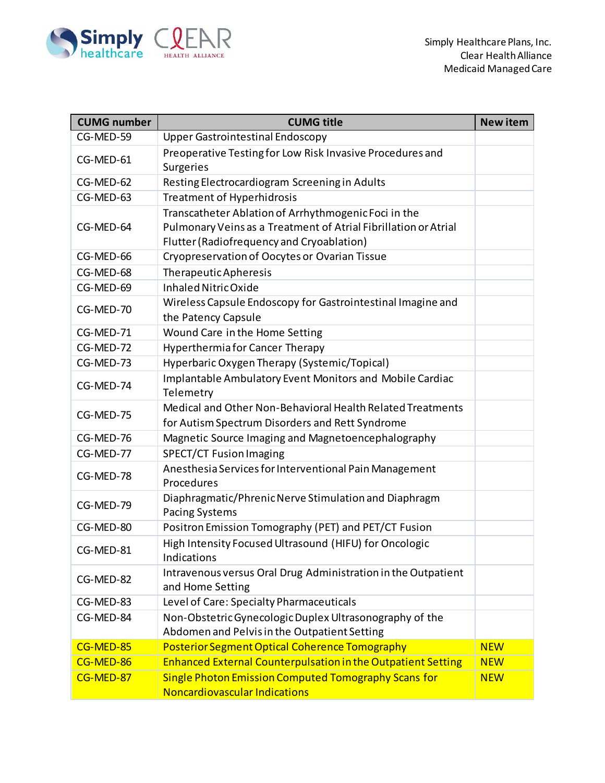

| <b>CUMG number</b> | <b>CUMG title</b>                                                                                                                                                    | <b>New item</b> |
|--------------------|----------------------------------------------------------------------------------------------------------------------------------------------------------------------|-----------------|
| CG-MED-59          | <b>Upper Gastrointestinal Endoscopy</b>                                                                                                                              |                 |
| CG-MED-61          | Preoperative Testing for Low Risk Invasive Procedures and<br><b>Surgeries</b>                                                                                        |                 |
| CG-MED-62          | Resting Electrocardiogram Screening in Adults                                                                                                                        |                 |
| CG-MED-63          | <b>Treatment of Hyperhidrosis</b>                                                                                                                                    |                 |
| CG-MED-64          | Transcatheter Ablation of Arrhythmogenic Foci in the<br>Pulmonary Veins as a Treatment of Atrial Fibrillation or Atrial<br>Flutter (Radiofrequency and Cryoablation) |                 |
| CG-MED-66          | Cryopreservation of Oocytes or Ovarian Tissue                                                                                                                        |                 |
| CG-MED-68          | Therapeutic Apheresis                                                                                                                                                |                 |
| CG-MED-69          | <b>Inhaled Nitric Oxide</b>                                                                                                                                          |                 |
| CG-MED-70          | Wireless Capsule Endoscopy for Gastrointestinal Imagine and<br>the Patency Capsule                                                                                   |                 |
| CG-MED-71          | Wound Care in the Home Setting                                                                                                                                       |                 |
| CG-MED-72          | <b>Hyperthermia for Cancer Therapy</b>                                                                                                                               |                 |
| CG-MED-73          | Hyperbaric Oxygen Therapy (Systemic/Topical)                                                                                                                         |                 |
| CG-MED-74          | Implantable Ambulatory Event Monitors and Mobile Cardiac<br>Telemetry                                                                                                |                 |
| CG-MED-75          | Medical and Other Non-Behavioral Health Related Treatments<br>for Autism Spectrum Disorders and Rett Syndrome                                                        |                 |
| CG-MED-76          | Magnetic Source Imaging and Magnetoencephalography                                                                                                                   |                 |
| CG-MED-77          | <b>SPECT/CT Fusion Imaging</b>                                                                                                                                       |                 |
| CG-MED-78          | Anesthesia Services for Interventional Pain Management<br>Procedures                                                                                                 |                 |
| CG-MED-79          | Diaphragmatic/Phrenic Nerve Stimulation and Diaphragm<br><b>Pacing Systems</b>                                                                                       |                 |
| CG-MED-80          | Positron Emission Tomography (PET) and PET/CT Fusion                                                                                                                 |                 |
| CG-MED-81          | High Intensity Focused Ultrasound (HIFU) for Oncologic<br>Indications                                                                                                |                 |
| CG-MED-82          | Intravenous versus Oral Drug Administration in the Outpatient<br>and Home Setting                                                                                    |                 |
| CG-MED-83          | Level of Care: Specialty Pharmaceuticals                                                                                                                             |                 |
| CG-MED-84          | Non-Obstetric Gynecologic Duplex Ultrasonography of the<br>Abdomen and Pelvis in the Outpatient Setting                                                              |                 |
| CG-MED-85          | Posterior Segment Optical Coherence Tomography                                                                                                                       | <b>NEW</b>      |
| CG-MED-86          | <b>Enhanced External Counterpulsation in the Outpatient Setting</b>                                                                                                  | <b>NEW</b>      |
| CG-MED-87          | Single Photon Emission Computed Tomography Scans for<br>Noncardiovascular Indications                                                                                | <b>NEW</b>      |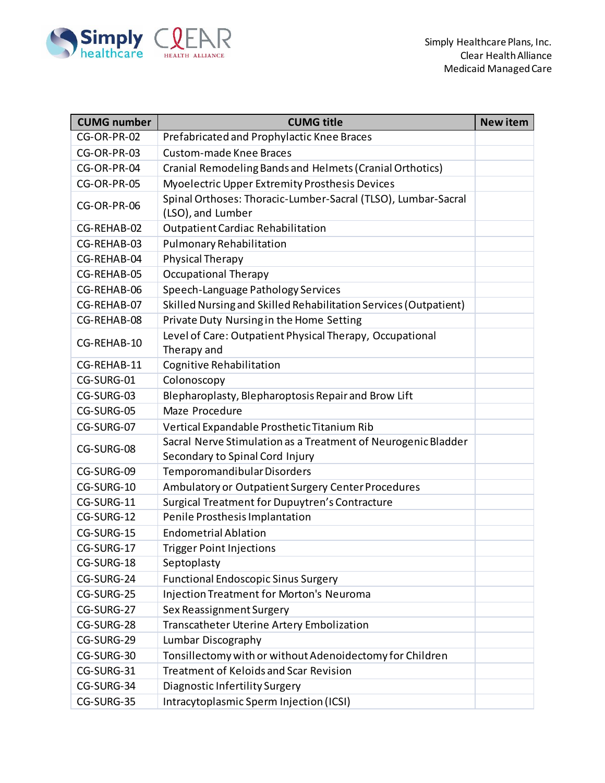

| <b>CUMG number</b> | <b>CUMG title</b>                                                                                | <b>New item</b> |
|--------------------|--------------------------------------------------------------------------------------------------|-----------------|
| CG-OR-PR-02        | Prefabricated and Prophylactic Knee Braces                                                       |                 |
| CG-OR-PR-03        | <b>Custom-made Knee Braces</b>                                                                   |                 |
| CG-OR-PR-04        | Cranial Remodeling Bands and Helmets (Cranial Orthotics)                                         |                 |
| CG-OR-PR-05        | Myoelectric Upper Extremity Prosthesis Devices                                                   |                 |
| CG-OR-PR-06        | Spinal Orthoses: Thoracic-Lumber-Sacral (TLSO), Lumbar-Sacral<br>(LSO), and Lumber               |                 |
| CG-REHAB-02        | <b>Outpatient Cardiac Rehabilitation</b>                                                         |                 |
| CG-REHAB-03        | <b>Pulmonary Rehabilitation</b>                                                                  |                 |
| CG-REHAB-04        | Physical Therapy                                                                                 |                 |
| CG-REHAB-05        | <b>Occupational Therapy</b>                                                                      |                 |
| CG-REHAB-06        | Speech-Language Pathology Services                                                               |                 |
| CG-REHAB-07        | Skilled Nursing and Skilled Rehabilitation Services (Outpatient)                                 |                 |
| CG-REHAB-08        | Private Duty Nursing in the Home Setting                                                         |                 |
| CG-REHAB-10        | Level of Care: Outpatient Physical Therapy, Occupational<br>Therapy and                          |                 |
| CG-REHAB-11        | Cognitive Rehabilitation                                                                         |                 |
| CG-SURG-01         | Colonoscopy                                                                                      |                 |
| CG-SURG-03         | Blepharoplasty, Blepharoptosis Repair and Brow Lift                                              |                 |
| CG-SURG-05         | Maze Procedure                                                                                   |                 |
| CG-SURG-07         | Vertical Expandable Prosthetic Titanium Rib                                                      |                 |
| CG-SURG-08         | Sacral Nerve Stimulation as a Treatment of Neurogenic Bladder<br>Secondary to Spinal Cord Injury |                 |
| CG-SURG-09         | Temporomandibular Disorders                                                                      |                 |
| CG-SURG-10         | Ambulatory or Outpatient Surgery Center Procedures                                               |                 |
| CG-SURG-11         | Surgical Treatment for Dupuytren's Contracture                                                   |                 |
| CG-SURG-12         | Penile Prosthesis Implantation                                                                   |                 |
| CG-SURG-15         | <b>Endometrial Ablation</b>                                                                      |                 |
| CG-SURG-17         | <b>Trigger Point Injections</b>                                                                  |                 |
| CG-SURG-18         | Septoplasty                                                                                      |                 |
| CG-SURG-24         | <b>Functional Endoscopic Sinus Surgery</b>                                                       |                 |
| CG-SURG-25         | Injection Treatment for Morton's Neuroma                                                         |                 |
| CG-SURG-27         | Sex Reassignment Surgery                                                                         |                 |
| CG-SURG-28         | Transcatheter Uterine Artery Embolization                                                        |                 |
| CG-SURG-29         | Lumbar Discography                                                                               |                 |
| CG-SURG-30         | Tonsillectomy with or without Adenoidectomy for Children                                         |                 |
| CG-SURG-31         | <b>Treatment of Keloids and Scar Revision</b>                                                    |                 |
| CG-SURG-34         | Diagnostic Infertility Surgery                                                                   |                 |
| CG-SURG-35         | Intracytoplasmic Sperm Injection (ICSI)                                                          |                 |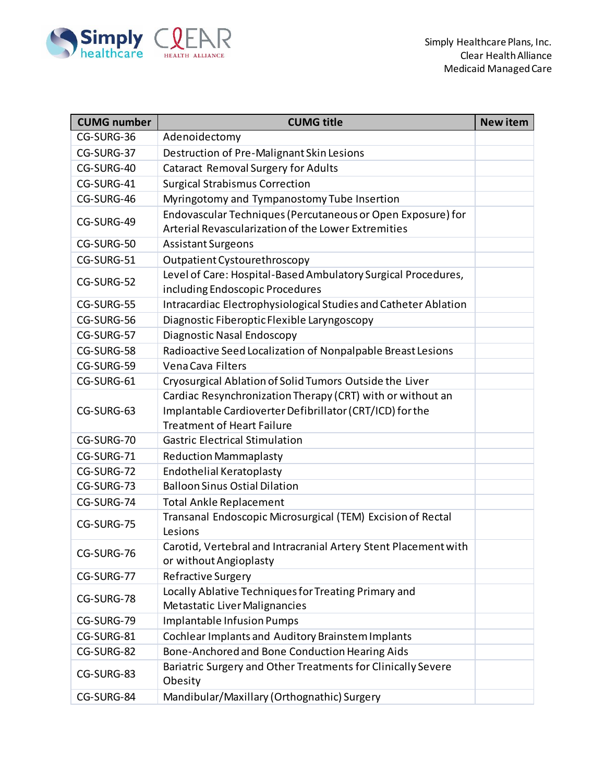

| <b>CUMG number</b> | <b>CUMG title</b>                                                                                                                                           | <b>New item</b> |
|--------------------|-------------------------------------------------------------------------------------------------------------------------------------------------------------|-----------------|
| CG-SURG-36         | Adenoidectomy                                                                                                                                               |                 |
| CG-SURG-37         | Destruction of Pre-Malignant Skin Lesions                                                                                                                   |                 |
| CG-SURG-40         | <b>Cataract Removal Surgery for Adults</b>                                                                                                                  |                 |
| CG-SURG-41         | <b>Surgical Strabismus Correction</b>                                                                                                                       |                 |
| CG-SURG-46         | Myringotomy and Tympanostomy Tube Insertion                                                                                                                 |                 |
| CG-SURG-49         | Endovascular Techniques (Percutaneous or Open Exposure) for<br>Arterial Revascularization of the Lower Extremities                                          |                 |
| CG-SURG-50         | <b>Assistant Surgeons</b>                                                                                                                                   |                 |
| CG-SURG-51         | Outpatient Cystourethroscopy                                                                                                                                |                 |
| CG-SURG-52         | Level of Care: Hospital-Based Ambulatory Surgical Procedures,<br>including Endoscopic Procedures                                                            |                 |
| CG-SURG-55         | Intracardiac Electrophysiological Studies and Catheter Ablation                                                                                             |                 |
| CG-SURG-56         | Diagnostic Fiberoptic Flexible Laryngoscopy                                                                                                                 |                 |
| CG-SURG-57         | Diagnostic Nasal Endoscopy                                                                                                                                  |                 |
| CG-SURG-58         | Radioactive Seed Localization of Nonpalpable Breast Lesions                                                                                                 |                 |
| CG-SURG-59         | Vena Cava Filters                                                                                                                                           |                 |
| CG-SURG-61         | Cryosurgical Ablation of Solid Tumors Outside the Liver                                                                                                     |                 |
| CG-SURG-63         | Cardiac Resynchronization Therapy (CRT) with or without an<br>Implantable Cardioverter Defibrillator (CRT/ICD) for the<br><b>Treatment of Heart Failure</b> |                 |
| CG-SURG-70         | <b>Gastric Electrical Stimulation</b>                                                                                                                       |                 |
| CG-SURG-71         | <b>Reduction Mammaplasty</b>                                                                                                                                |                 |
| CG-SURG-72         | <b>Endothelial Keratoplasty</b>                                                                                                                             |                 |
| CG-SURG-73         | <b>Balloon Sinus Ostial Dilation</b>                                                                                                                        |                 |
| CG-SURG-74         | <b>Total Ankle Replacement</b>                                                                                                                              |                 |
| CG-SURG-75         | Transanal Endoscopic Microsurgical (TEM) Excision of Rectal<br>Lesions                                                                                      |                 |
| CG-SURG-76         | Carotid, Vertebral and Intracranial Artery Stent Placement with<br>or without Angioplasty                                                                   |                 |
| CG-SURG-77         | Refractive Surgery                                                                                                                                          |                 |
| CG-SURG-78         | Locally Ablative Techniques for Treating Primary and<br>Metastatic Liver Malignancies                                                                       |                 |
| CG-SURG-79         | <b>Implantable Infusion Pumps</b>                                                                                                                           |                 |
| CG-SURG-81         | Cochlear Implants and Auditory Brainstem Implants                                                                                                           |                 |
| CG-SURG-82         | Bone-Anchored and Bone Conduction Hearing Aids                                                                                                              |                 |
| CG-SURG-83         | Bariatric Surgery and Other Treatments for Clinically Severe<br>Obesity                                                                                     |                 |
| CG-SURG-84         | Mandibular/Maxillary (Orthognathic) Surgery                                                                                                                 |                 |